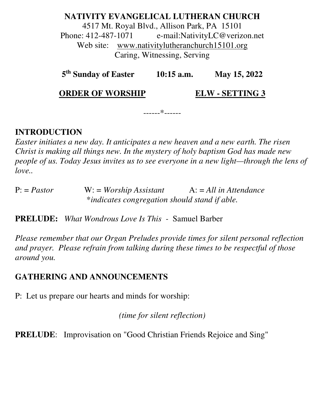**NATIVITY EVANGELICAL LUTHERAN CHURCH**  4517 Mt. Royal Blvd., Allison Park, PA 15101 Phone: 412-487-1071 e-mail:NativityLC@verizon.net Web site: www.nativitylutheranchurch15101.org Caring, Witnessing, Serving

**5 th Sunday of Easter 10:15 a.m. May 15, 2022** 

------\*------

**ORDER OF WORSHIP ELW - SETTING 3** 

**INTRODUCTION** 

*Easter initiates a new day. It anticipates a new heaven and a new earth. The risen Christ is making all things new. In the mystery of holy baptism God has made new people of us. Today Jesus invites us to see everyone in a new light—through the lens of love..* 

P: = *Pastor* W: = *Worship Assistant* A: = *All in Attendance* \**indicates congregation should stand if able.* 

**PRELUDE:** *What Wondrous Love Is This -* Samuel Barber

*Please remember that our Organ Preludes provide times for silent personal reflection and prayer. Please refrain from talking during these times to be respectful of those around you.* 

#### **GATHERING AND ANNOUNCEMENTS**

P: Let us prepare our hearts and minds for worship:

*(time for silent reflection)* 

**PRELUDE**: Improvisation on "Good Christian Friends Rejoice and Sing"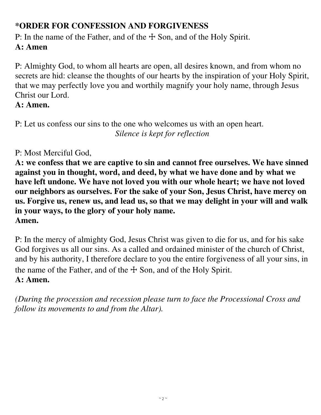# **\*ORDER FOR CONFESSION AND FORGIVENESS**

P: In the name of the Father, and of the  $\pm$  Son, and of the Holy Spirit. **A: Amen** 

P: Almighty God, to whom all hearts are open, all desires known, and from whom no secrets are hid: cleanse the thoughts of our hearts by the inspiration of your Holy Spirit, that we may perfectly love you and worthily magnify your holy name, through Jesus Christ our Lord.

# **A: Amen.**

P: Let us confess our sins to the one who welcomes us with an open heart. *Silence is kept for reflection* 

# P: Most Merciful God,

**A: we confess that we are captive to sin and cannot free ourselves. We have sinned against you in thought, word, and deed, by what we have done and by what we have left undone. We have not loved you with our whole heart; we have not loved our neighbors as ourselves. For the sake of your Son, Jesus Christ, have mercy on us. Forgive us, renew us, and lead us, so that we may delight in your will and walk in your ways, to the glory of your holy name. Amen.** 

P: In the mercy of almighty God, Jesus Christ was given to die for us, and for his sake God forgives us all our sins. As a called and ordained minister of the church of Christ, and by his authority, I therefore declare to you the entire forgiveness of all your sins, in the name of the Father, and of the  $\pm$  Son, and of the Holy Spirit.

# **A: Amen.**

*(During the procession and recession please turn to face the Processional Cross and follow its movements to and from the Altar).*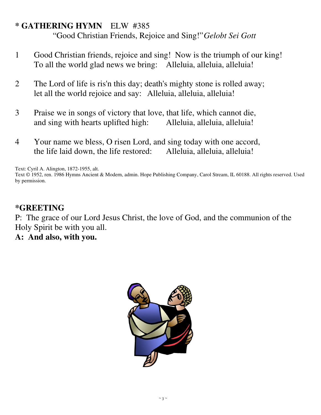#### **\* GATHERING HYMN** ELW #385

"Good Christian Friends, Rejoice and Sing!" *Gelobt Sei Gott*

- 1 Good Christian friends, rejoice and sing! Now is the triumph of our king! To all the world glad news we bring: Alleluia, alleluia, alleluia!
- 2 The Lord of life is ris'n this day; death's mighty stone is rolled away; let all the world rejoice and say: Alleluia, alleluia, alleluia!
- 3 Praise we in songs of victory that love, that life, which cannot die, and sing with hearts uplifted high: Alleluia, alleluia, alleluia!
- 4 Your name we bless, O risen Lord, and sing today with one accord, the life laid down, the life restored: Alleluia, alleluia, alleluia!

Text: Cyril A. Alington, 1872-1955, alt.

Text © 1952, ren. 1986 Hymns Ancient & Modern, admin. Hope Publishing Company, Carol Stream, IL 60188. All rights reserved. Used by permission.

#### **\*GREETING**

P: The grace of our Lord Jesus Christ, the love of God, and the communion of the Holy Spirit be with you all.

**A: And also, with you.** 

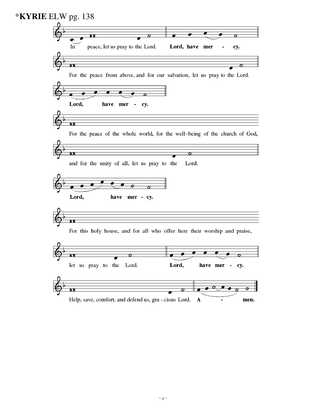| <b>*KYRIE</b> ELW pg. 138                                                     |
|-------------------------------------------------------------------------------|
|                                                                               |
| О                                                                             |
| peace, let us pray to the Lord.<br>Lord, have mer<br>In<br>cy.                |
|                                                                               |
| σ                                                                             |
| For the peace from above, and for our salvation, let us pray to the Lord.     |
|                                                                               |
|                                                                               |
| Lord,<br>have mer<br>cy.<br>٠                                                 |
|                                                                               |
| М                                                                             |
| For the peace of the whole world, for the well-being of the church of God,    |
|                                                                               |
| σ<br>$\sigma$                                                                 |
| and for the unity of all, let us pray to the<br>Lord.                         |
|                                                                               |
|                                                                               |
| Lord,<br>have mer - cy.                                                       |
|                                                                               |
| Ф                                                                             |
| For this holy house, and for all who offer here their worship and praise,     |
|                                                                               |
| O                                                                             |
| О<br>$\boldsymbol{\sigma}$                                                    |
| let us pray to the Lord.<br>Lord,<br>have mer<br>cy.<br>٠                     |
|                                                                               |
| $\overline{\mathbf{c}}$<br>σ                                                  |
| Help, save, comfort, and defend us, gra - cious Lord.<br>$\mathbf{A}$<br>men. |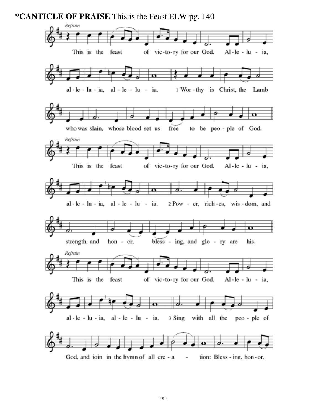**\*CANTICLE OF PRAISE** This is the Feast ELW pg. 140

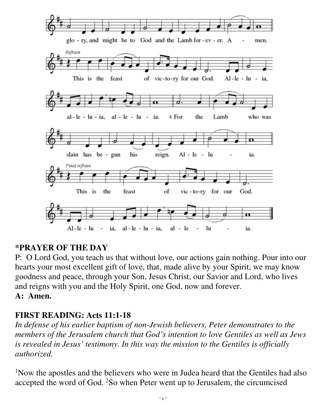

# **\*PRAYER OF THE DAY**

P: O Lord God, you teach us that without love, our actions gain nothing. Pour into our hearts your most excellent gift of love, that, made alive by your Spirit, we may know goodness and peace, through your Son, Jesus Christ, our Savior and Lord, who lives and reigns with you and the Holy Spirit, one God, now and forever. **A: Amen.** 

# **FIRST READING: Acts 11:1-18**

*In defense of his earlier baptism of non-Jewish believers, Peter demonstrates to the members of the Jerusalem church that God's intention to love Gentiles as well as Jews is revealed in Jesus' testimony. In this way the mission to the Gentiles is officially authorized.* 

<sup>1</sup>Now the apostles and the believers who were in Judea heard that the Gentiles had also accepted the word of God. 2So when Peter went up to Jerusalem, the circumcised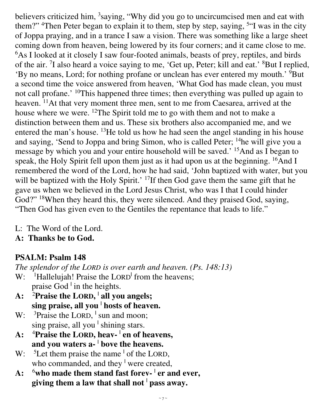believers criticized him, <sup>3</sup>saying, "Why did you go to uncircumcised men and eat with them?" <sup>4</sup>Then Peter began to explain it to them, step by step, saying, <sup>5"</sup>I was in the city of Joppa praying, and in a trance I saw a vision. There was something like a large sheet coming down from heaven, being lowered by its four corners; and it came close to me. <sup>6</sup>As I looked at it closely I saw four-footed animals, beasts of prey, reptiles, and birds of the air. <sup>7</sup>I also heard a voice saying to me, 'Get up, Peter; kill and eat.' <sup>8</sup>But I replied, 'By no means, Lord; for nothing profane or unclean has ever entered my mouth.' <sup>9</sup>But a second time the voice answered from heaven, 'What God has made clean, you must not call profane.' <sup>10</sup>This happened three times; then everything was pulled up again to heaven. <sup>11</sup>At that very moment three men, sent to me from Caesarea, arrived at the house where we were. <sup>12</sup>The Spirit told me to go with them and not to make a distinction between them and us. These six brothers also accompanied me, and we entered the man's house. <sup>13</sup>He told us how he had seen the angel standing in his house and saying, 'Send to Joppa and bring Simon, who is called Peter; <sup>14</sup>he will give you a message by which you and your entire household will be saved.' <sup>15</sup>And as I began to speak, the Holy Spirit fell upon them just as it had upon us at the beginning. <sup>16</sup>And I remembered the word of the Lord, how he had said, 'John baptized with water, but you will be baptized with the Holy Spirit.' <sup>17</sup>If then God gave them the same gift that he gave us when we believed in the Lord Jesus Christ, who was I that I could hinder God?" <sup>18</sup>When they heard this, they were silenced. And they praised God, saying, "Then God has given even to the Gentiles the repentance that leads to life."

L: The Word of the Lord.

**A: Thanks be to God.** 

# **PSALM: Psalm 148**

*The splendor of the LORD is over earth and heaven. (Ps. 148:13)* 

- W: <sup>1</sup>Hallelujah! Praise the LORD<sup>1</sup> from the heavens; praise God <sup>|</sup> in the heights.
- **A:** <sup>2</sup>**Praise the LORD, | all you angels; sing praise, all you <sup>|</sup> hosts of heaven.**
- W:  $3$ Praise the LORD,  $\frac{1}{2}$  sun and moon; sing praise, all you <sup>|</sup> shining stars.
- **A:** <sup>4</sup>**Praise the LORD, heav- <sup>|</sup> en of heavens, and you waters a- <sup>|</sup> bove the heavens.**
- W: <sup>5</sup>Let them praise the name <sup>1</sup> of the LORD, who commanded, and they <sup>1</sup> were created,
- **A:** <sup>6</sup>**who made them stand fast forev- <sup>|</sup> er and ever, giving them a law that shall not <sup>|</sup> pass away.**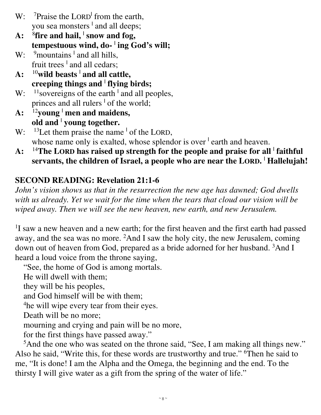- W: <sup>7</sup>Praise the LORD<sup>†</sup> from the earth, you sea monsters <sup>1</sup> and all deeps;
- **A:** <sup>8</sup> **fire and hail, <sup>|</sup> snow and fog, tempestuous wind, do- <sup>|</sup> ing God's will;**
- W: <sup>9</sup> mountains <sup>1</sup> and all hills, fruit trees <sup>1</sup> and all cedars;
- **A:** <sup>10</sup>**wild beasts <sup>|</sup> and all cattle, creeping things and <sup>|</sup> flying birds;**
- W:  $11$  sovereigns of the earth  $\frac{1}{2}$  and all peoples, princes and all rulers <sup>1</sup> of the world;
- **A:** <sup>12</sup>**young <sup>|</sup> men and maidens, old and <sup>|</sup> young together.**
- W:  $^{13}$ Let them praise the name  $^{1}$  of the LORD, whose name only is exalted, whose splendor is over <sup>1</sup> earth and heaven.
- **A:** <sup>14</sup>**The LORD has raised up strength for the people and praise for all <sup>|</sup> faithful servants, the children of Israel, a people who are near the LORD. | Hallelujah!**

# **SECOND READING: Revelation 21:1-6**

*John's vision shows us that in the resurrection the new age has dawned; God dwells with us already. Yet we wait for the time when the tears that cloud our vision will be wiped away. Then we will see the new heaven, new earth, and new Jerusalem.* 

<sup>1</sup>I saw a new heaven and a new earth; for the first heaven and the first earth had passed away, and the sea was no more. <sup>2</sup>And I saw the holy city, the new Jerusalem, coming down out of heaven from God, prepared as a bride adorned for her husband. <sup>3</sup>And I heard a loud voice from the throne saying,

"See, the home of God is among mortals.

He will dwell with them;

they will be his peoples,

and God himself will be with them;

<sup>4</sup>he will wipe every tear from their eyes.

Death will be no more;

mourning and crying and pain will be no more,

for the first things have passed away."

<sup>5</sup>And the one who was seated on the throne said, "See, I am making all things new." Also he said, "Write this, for these words are trustworthy and true." <sup>6</sup>Then he said to me, "It is done! I am the Alpha and the Omega, the beginning and the end. To the thirsty I will give water as a gift from the spring of the water of life."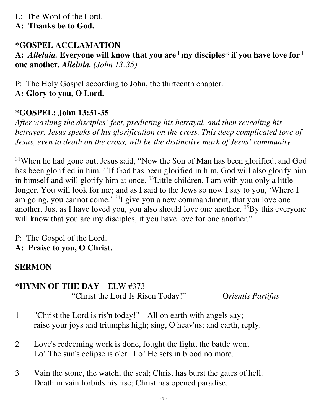- L: The Word of the Lord.
- **A: Thanks be to God.**

# **\*GOSPEL ACCLAMATION**

**A:** *Alleluia.* **Everyone will know that you are <sup>|</sup> my disciples\* if you have love for <sup>|</sup> one another.** *Alleluia. (John 13:35)* 

P: The Holy Gospel according to John, the thirteenth chapter.

**A: Glory to you, O Lord.** 

# **\*GOSPEL: John 13:31-35**

*After washing the disciples' feet, predicting his betrayal, and then revealing his betrayer, Jesus speaks of his glorification on the cross. This deep complicated love of Jesus, even to death on the cross, will be the distinctive mark of Jesus' community.* 

<sup>31</sup>When he had gone out, Jesus said, "Now the Son of Man has been glorified, and God has been glorified in him. <sup>32</sup>If God has been glorified in him, God will also glorify him in himself and will glorify him at once. <sup>33</sup>Little children, I am with you only a little longer. You will look for me; and as I said to the Jews so now I say to you, 'Where I am going, you cannot come.' <sup>34</sup>I give you a new commandment, that you love one another. Just as I have loved you, you also should love one another.  $35By$  this everyone will know that you are my disciples, if you have love for one another."

- P: The Gospel of the Lord.
- **A: Praise to you, O Christ.**

# **SERMON**

#### **\*HYMN OF THE DAY** ELW #373 "Christ the Lord Is Risen Today!" O*rientis Partifus*

- 1 "Christ the Lord is ris'n today!" All on earth with angels say; raise your joys and triumphs high; sing, O heav'ns; and earth, reply.
- 2 Love's redeeming work is done, fought the fight, the battle won; Lo! The sun's eclipse is o'er. Lo! He sets in blood no more.
- 3 Vain the stone, the watch, the seal; Christ has burst the gates of hell. Death in vain forbids his rise; Christ has opened paradise.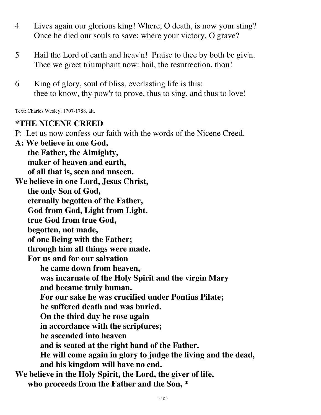- 4 Lives again our glorious king! Where, O death, is now your sting? Once he died our souls to save; where your victory, O grave?
- 5 Hail the Lord of earth and heav'n! Praise to thee by both be giv'n. Thee we greet triumphant now: hail, the resurrection, thou!
- 6 King of glory, soul of bliss, everlasting life is this: thee to know, thy pow'r to prove, thus to sing, and thus to love!

Text: Charles Wesley, 1707-1788, alt.

#### **\*THE NICENE CREED**

P: Let us now confess our faith with the words of the Nicene Creed.

**A: We believe in one God, the Father, the Almighty, maker of heaven and earth, of all that is, seen and unseen. We believe in one Lord, Jesus Christ, the only Son of God, eternally begotten of the Father, God from God, Light from Light, true God from true God, begotten, not made, of one Being with the Father; through him all things were made. For us and for our salvation he came down from heaven, was incarnate of the Holy Spirit and the virgin Mary and became truly human. For our sake he was crucified under Pontius Pilate; he suffered death and was buried. On the third day he rose again in accordance with the scriptures; he ascended into heaven and is seated at the right hand of the Father. He will come again in glory to judge the living and the dead, and his kingdom will have no end. We believe in the Holy Spirit, the Lord, the giver of life, who proceeds from the Father and the Son, \***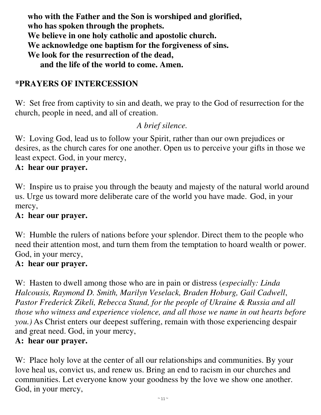**who with the Father and the Son is worshiped and glorified, who has spoken through the prophets. We believe in one holy catholic and apostolic church. We acknowledge one baptism for the forgiveness of sins. We look for the resurrection of the dead, and the life of the world to come. Amen.**

# **\*PRAYERS OF INTERCESSION**

W: Set free from captivity to sin and death, we pray to the God of resurrection for the church, people in need, and all of creation.

## *A brief silence.*

W: Loving God, lead us to follow your Spirit, rather than our own prejudices or desires, as the church cares for one another. Open us to perceive your gifts in those we least expect. God, in your mercy,

#### **A: hear our prayer.**

W: Inspire us to praise you through the beauty and majesty of the natural world around us. Urge us toward more deliberate care of the world you have made. God, in your mercy,

#### **A: hear our prayer.**

W: Humble the rulers of nations before your splendor. Direct them to the people who need their attention most, and turn them from the temptation to hoard wealth or power. God, in your mercy,

#### **A: hear our prayer.**

W: Hasten to dwell among those who are in pain or distress (*especially: Linda Halcousis, Raymond D. Smith, Marilyn Veselack, Braden Hoburg, Gail Cadwell*, *Pastor Frederick Zikeli, Rebecca Stand, for the people of Ukraine & Russia and all those who witness and experience violence, and all those we name in out hearts before you.)* As Christ enters our deepest suffering, remain with those experiencing despair and great need. God, in your mercy,

#### **A: hear our prayer.**

W: Place holy love at the center of all our relationships and communities. By your love heal us, convict us, and renew us. Bring an end to racism in our churches and communities. Let everyone know your goodness by the love we show one another. God, in your mercy,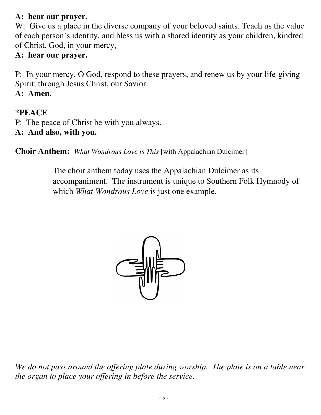# **A: hear our prayer.**

W: Give us a place in the diverse company of your beloved saints. Teach us the value of each person's identity, and bless us with a shared identity as your children, kindred of Christ. God, in your mercy,

## **A: hear our prayer.**

P: In your mercy, O God, respond to these prayers, and renew us by your life-giving Spirit; through Jesus Christ, our Savior.

# **A: Amen.**

## **\*PEACE**

- P: The peace of Christ be with you always.
- **A: And also, with you.**

**Choir Anthem:** *What Wondrous Love is This* [with Appalachian Dulcimer]

The choir anthem today uses the Appalachian Dulcimer as its accompaniment. The instrument is unique to Southern Folk Hymnody of which *What Wondrous Love* is just one example.



We do not pass around the offering plate during worship. The plate is on a table near *the organ to place your offering in before the service.*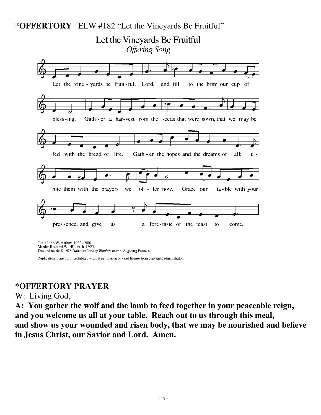# **\*OFFERTORY** ELW #182 "Let the Vineyards Be Fruitful" Let the Vineyards Be Fruitful **Offering Song** Let the vine - yards be fruit-ful, Lord, and fill to the brim our cup of Gath - er a har-vest from the seeds that were sown, that we may be bless-ing. fed with the bread of life. Gath - er the hopes and the dreams of all:  $u$ nite them with the prayers of - fer now. Grace our ta-ble with your we pres-ence, and give **us** a fore-taste of the feast to come.

Text: John W. Arthur, 1922-1980<br>Music: Richard W. Hillert, b. 1923 Text and music © 1978 Lutheran Book of Worship, admin. Augsburg Fortress.

Duplication in any form prohibited without permission or valid license from copyright administrator.

#### **\*OFFERTORY PRAYER**

#### W: Living God,

**A: You gather the wolf and the lamb to feed together in your peaceable reign, and you welcome us all at your table. Reach out to us through this meal, and show us your wounded and risen body, that we may be nourished and believe in Jesus Christ, our Savior and Lord. Amen.**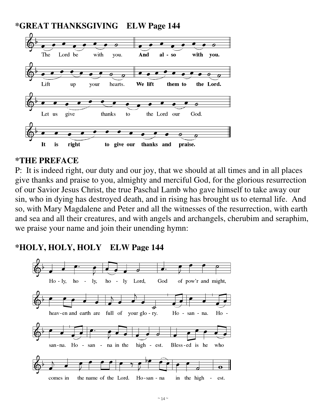

## **\*THE PREFACE**

P: It is indeed right, our duty and our joy, that we should at all times and in all places give thanks and praise to you, almighty and merciful God, for the glorious resurrection of our Savior Jesus Christ, the true Paschal Lamb who gave himself to take away our sin, who in dying has destroyed death, and in rising has brought us to eternal life. And so, with Mary Magdalene and Peter and all the witnesses of the resurrection, with earth and sea and all their creatures, and with angels and archangels, cherubim and seraphim, we praise your name and join their unending hymn:

# **\*HOLY, HOLY, HOLY ELW Page 144**

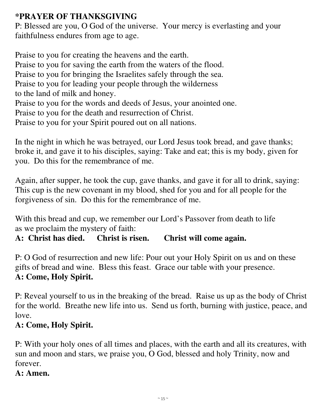# **\*PRAYER OF THANKSGIVING**

P: Blessed are you, O God of the universe. Your mercy is everlasting and your faithfulness endures from age to age.

Praise to you for creating the heavens and the earth. Praise to you for saving the earth from the waters of the flood. Praise to you for bringing the Israelites safely through the sea. Praise to you for leading your people through the wilderness to the land of milk and honey. Praise to you for the words and deeds of Jesus, your anointed one. Praise to you for the death and resurrection of Christ. Praise to you for your Spirit poured out on all nations.

In the night in which he was betrayed, our Lord Jesus took bread, and gave thanks; broke it, and gave it to his disciples, saying: Take and eat; this is my body, given for you. Do this for the remembrance of me.

Again, after supper, he took the cup, gave thanks, and gave it for all to drink, saying: This cup is the new covenant in my blood, shed for you and for all people for the forgiveness of sin. Do this for the remembrance of me.

With this bread and cup, we remember our Lord's Passover from death to life as we proclaim the mystery of faith:

**A: Christ has died. Christ is risen. Christ will come again.**

P: O God of resurrection and new life: Pour out your Holy Spirit on us and on these gifts of bread and wine. Bless this feast. Grace our table with your presence. **A: Come, Holy Spirit.**

P: Reveal yourself to us in the breaking of the bread. Raise us up as the body of Christ for the world. Breathe new life into us. Send us forth, burning with justice, peace, and love.

# **A: Come, Holy Spirit.**

P: With your holy ones of all times and places, with the earth and all its creatures, with sun and moon and stars, we praise you, O God, blessed and holy Trinity, now and forever.

# **A: Amen.**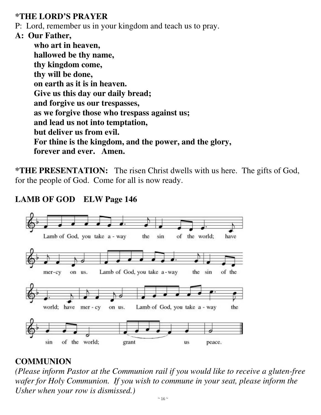# **\*THE LORD'S PRAYER**

P: Lord, remember us in your kingdom and teach us to pray.

# **A: Our Father,**

**who art in heaven, hallowed be thy name, thy kingdom come, thy will be done, on earth as it is in heaven. Give us this day our daily bread; and forgive us our trespasses, as we forgive those who trespass against us; and lead us not into temptation, but deliver us from evil. For thine is the kingdom, and the power, and the glory, forever and ever. Amen.** 

**\*THE PRESENTATION:** The risen Christ dwells with us here. The gifts of God, for the people of God. Come for all is now ready.

# **LAMB OF GOD ELW Page 146**



# **COMMUNION**

*(Please inform Pastor at the Communion rail if you would like to receive a gluten-free wafer for Holy Communion. If you wish to commune in your seat, please inform the Usher when your row is dismissed.)*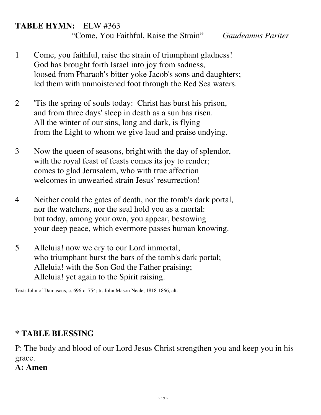# **TABLE HYMN:** ELW #363

"Come, You Faithful, Raise the Strain" *Gaudeamus Pariter* 

- 1 Come, you faithful, raise the strain of triumphant gladness! God has brought forth Israel into joy from sadness, loosed from Pharaoh's bitter yoke Jacob's sons and daughters; led them with unmoistened foot through the Red Sea waters.
- 2 'Tis the spring of souls today: Christ has burst his prison, and from three days' sleep in death as a sun has risen. All the winter of our sins, long and dark, is flying from the Light to whom we give laud and praise undying.
- 3 Now the queen of seasons, bright with the day of splendor, with the royal feast of feasts comes its joy to render; comes to glad Jerusalem, who with true affection welcomes in unwearied strain Jesus' resurrection!
- 4 Neither could the gates of death, nor the tomb's dark portal, nor the watchers, nor the seal hold you as a mortal: but today, among your own, you appear, bestowing your deep peace, which evermore passes human knowing.
- 5 Alleluia! now we cry to our Lord immortal, who triumphant burst the bars of the tomb's dark portal; Alleluia! with the Son God the Father praising; Alleluia! yet again to the Spirit raising.

Text: John of Damascus, c. 696-c. 754; tr. John Mason Neale, 1818-1866, alt.

# **\* TABLE BLESSING**

P: The body and blood of our Lord Jesus Christ strengthen you and keep you in his grace.

# **A: Amen**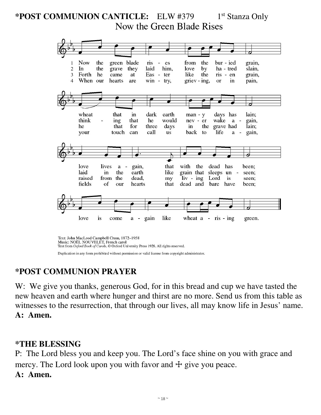# **\*POST COMMUNION CANTICLE:** ELW #379 1st Stanza Only Now the Green Blade Rises



Text: John MacLeod Campbell Crum, 1872-1958 Music: NOËL NOUVELET, French carol Text from Oxford Book of Carols, © Oxford University Press 1928. All rights reserved.

Duplication in any form prohibited without permission or valid license from copyright administrator.

# **\*POST COMMUNION PRAYER**

W: We give you thanks, generous God, for in this bread and cup we have tasted the new heaven and earth where hunger and thirst are no more. Send us from this table as witnesses to the resurrection, that through our lives, all may know life in Jesus' name. **A: Amen.** 

#### **\*THE BLESSING**

P: The Lord bless you and keep you. The Lord's face shine on you with grace and mercy. The Lord look upon you with favor and  $\pm$  give you peace.

#### **A: Amen.**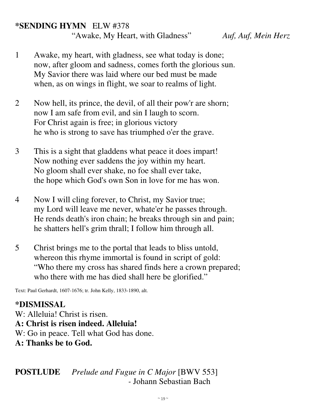# **\*SENDING HYMN** ELW #378

"Awake, My Heart, with Gladness" *Auf, Auf, Mein Herz* 

- 1 Awake, my heart, with gladness, see what today is done; now, after gloom and sadness, comes forth the glorious sun. My Savior there was laid where our bed must be made when, as on wings in flight, we soar to realms of light.
- 2 Now hell, its prince, the devil, of all their pow'r are shorn; now I am safe from evil, and sin I laugh to scorn. For Christ again is free; in glorious victory he who is strong to save has triumphed o'er the grave.
- 3 This is a sight that gladdens what peace it does impart! Now nothing ever saddens the joy within my heart. No gloom shall ever shake, no foe shall ever take, the hope which God's own Son in love for me has won.
- 4 Now I will cling forever, to Christ, my Savior true; my Lord will leave me never, whate'er he passes through. He rends death's iron chain; he breaks through sin and pain; he shatters hell's grim thrall; I follow him through all.
- 5 Christ brings me to the portal that leads to bliss untold, whereon this rhyme immortal is found in script of gold: "Who there my cross has shared finds here a crown prepared; who there with me has died shall here be glorified."

Text: Paul Gerhardt, 1607-1676; tr. John Kelly, 1833-1890, alt.

# **\*DISMISSAL**

W: Alleluia! Christ is risen. **A: Christ is risen indeed. Alleluia!** W: Go in peace. Tell what God has done. **A: Thanks be to God.**

# **POSTLUDE** *Prelude and Fugue in C Major* [BWV 553]  *-* Johann Sebastian Bach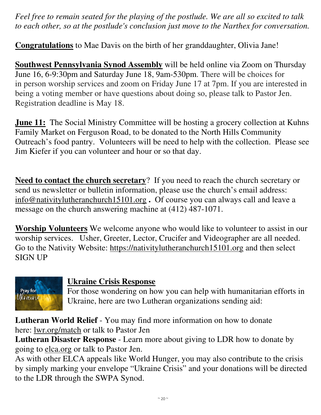*Feel free to remain seated for the playing of the postlude. We are all so excited to talk to each other, so at the postlude's conclusion just move to the Narthex for conversation.* 

**Congratulations** to Mae Davis on the birth of her granddaughter, Olivia Jane!

**Southwest Pennsylvania Synod Assembly** will be held online via Zoom on Thursday June 16, 6-9:30pm and Saturday June 18, 9am-530pm. There will be choices for in person worship services and zoom on Friday June 17 at 7pm. If you are interested in being a voting member or have questions about doing so, please talk to Pastor Jen. Registration deadline is May 18.

**June 11:** The Social Ministry Committee will be hosting a grocery collection at Kuhns Family Market on Ferguson Road, to be donated to the North Hills Community Outreach's food pantry. Volunteers will be need to help with the collection. Please see Jim Kiefer if you can volunteer and hour or so that day.

**Need to contact the church secretary**? If you need to reach the church secretary or send us newsletter or bulletin information, please use the church's email address: info@nativitylutheranchurch15101.org **.** Of course you can always call and leave a message on the church answering machine at (412) 487-1071.

**Worship Volunteers** We welcome anyone who would like to volunteer to assist in our worship services. Usher, Greeter, Lector, Crucifer and Videographer are all needed. Go to the Nativity Website: https://nativitylutheranchurch15101.org and then select SIGN UP



#### **Ukraine Crisis Response**

For those wondering on how you can help with humanitarian efforts in Ukraine, here are two Lutheran organizations sending aid:

**Lutheran World Relief** - You may find more information on how to donate here: lwr.org/match or talk to Pastor Jen

**Lutheran Disaster Response** - Learn more about giving to LDR how to donate by going to elca.org or talk to Pastor Jen.

As with other ELCA appeals like World Hunger, you may also contribute to the crisis by simply marking your envelope "Ukraine Crisis" and your donations will be directed to the LDR through the SWPA Synod.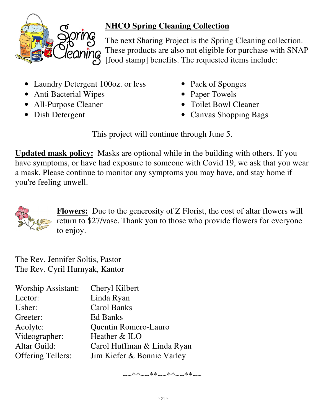

# **NHCO Spring Cleaning Collection**

The next Sharing Project is the Spring Cleaning collection. These products are also not eligible for purchase with SNAP [food stamp] benefits. The requested items include:

- Laundry Detergent 100oz. or less
- Anti Bacterial Wipes
- All-Purpose Cleaner
- Dish Detergent
- Pack of Sponges
- Paper Towels
- Toilet Bowl Cleaner
- Canvas Shopping Bags

This project will continue through June 5.

**Updated mask policy:** Masks are optional while in the building with others. If you have symptoms, or have had exposure to someone with Covid 19, we ask that you wear a mask. Please continue to monitor any symptoms you may have, and stay home if you're feeling unwell.



**Flowers:** Due to the generosity of Z Florist, the cost of altar flowers will return to \$27/vase. Thank you to those who provide flowers for everyone to enjoy.

The Rev. Jennifer Soltis, Pastor The Rev. Cyril Hurnyak, Kantor

| <b>Worship Assistant:</b> | Cheryl Kilbert             |
|---------------------------|----------------------------|
| Lector:                   | Linda Ryan                 |
| Usher:                    | <b>Carol Banks</b>         |
| Greeter:                  | Ed Banks                   |
| Acolyte:                  | Quentin Romero-Lauro       |
| Videographer:             | Heather & ILO              |
| <b>Altar Guild:</b>       | Carol Huffman & Linda Ryan |
| <b>Offering Tellers:</b>  | Jim Kiefer & Bonnie Varley |

~~\*\*~~\*\*\*~~\*\*~~